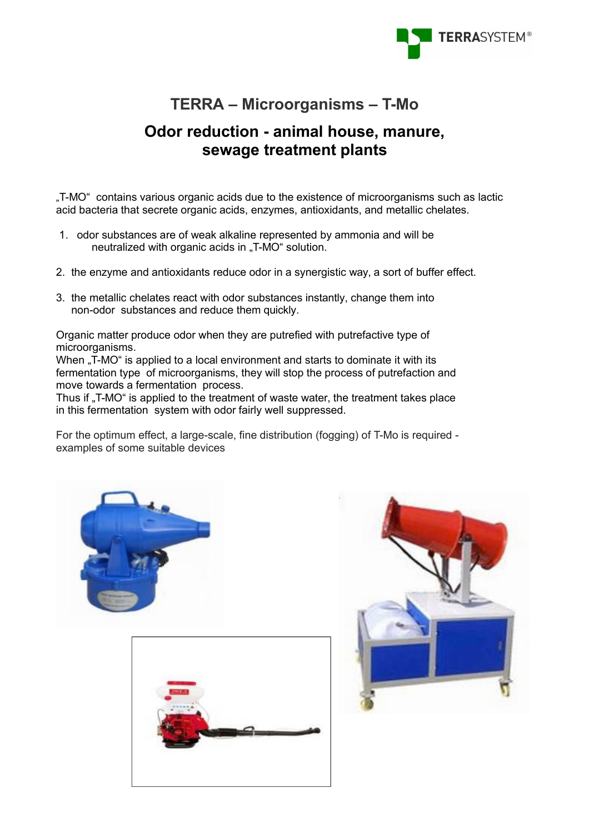

## **TERRA – Microorganisms – T-Mo**

# **Odor reduction - animal house, manure, sewage treatment plants**

"T-MO" contains various organic acids due to the existence of microorganisms such as lactic acid bacteria that secrete organic acids, enzymes, antioxidants, and metallic chelates.

- 1. odor substances are of weak alkaline represented by ammonia and will be neutralized with organic acids in ..T-MO" solution.
- 2. the enzyme and antioxidants reduce odor in a synergistic way, a sort of buffer effect.
- 3. the metallic chelates react with odor substances instantly, change them into non-odor substances and reduce them quickly.

Organic matter produce odor when they are putrefied with putrefactive type of microorganisms.

When "T-MO" is applied to a local environment and starts to dominate it with its fermentation type of microorganisms, they will stop the process of putrefaction and move towards a fermentation process.

Thus if "T-MO" is applied to the treatment of waste water, the treatment takes place in this fermentation system with odor fairly well suppressed.

For the optimum effect, a large-scale, fine distribution (fogging) of T-Mo is required examples of some suitable devices





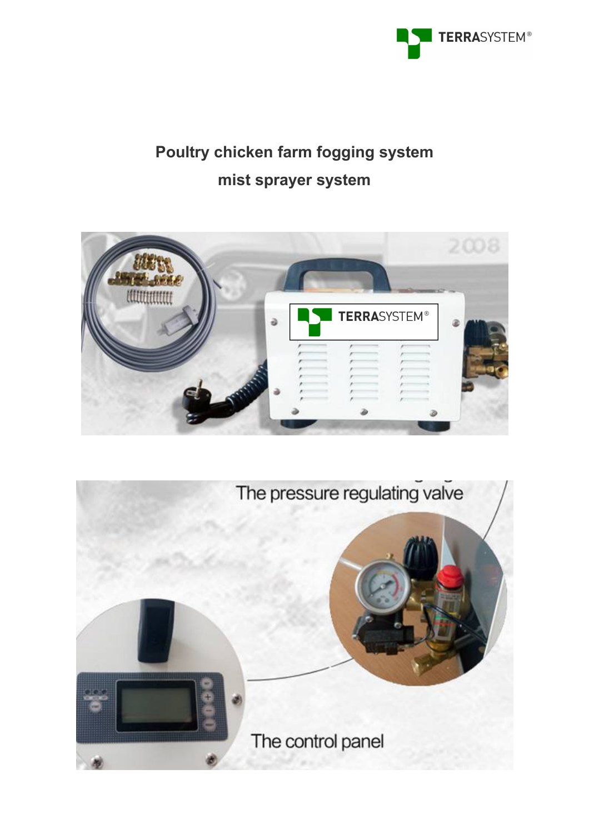

# **Poultry chicken farm fogging system mist sprayer system**



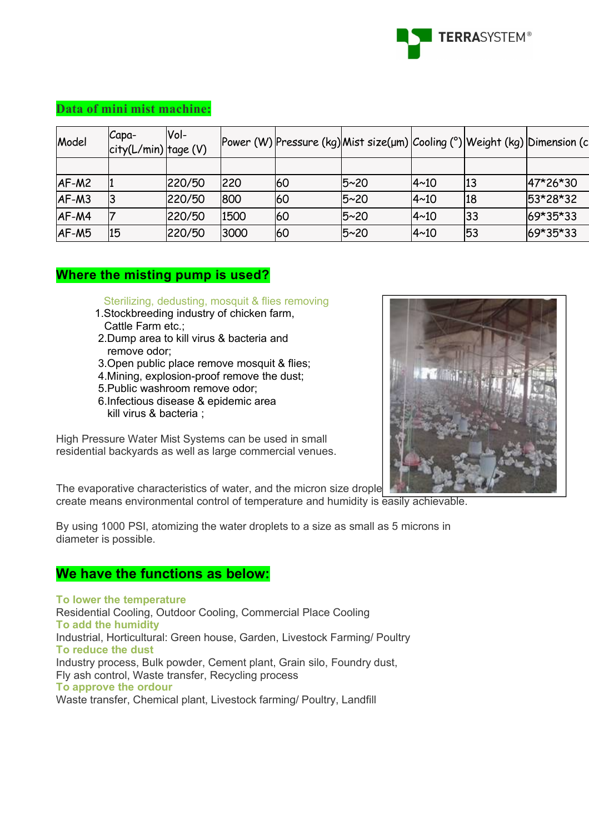

#### **Data of mini mist machine:**

| Model   | Capa-<br>$ city(L/min) $ tage (V) | Vol-   |      |    | Power (W) Pressure (kg) Mist size(µm) Cooling (°) Weight (kg) Dimension (c |              |    |          |
|---------|-----------------------------------|--------|------|----|----------------------------------------------------------------------------|--------------|----|----------|
|         |                                   |        |      |    |                                                                            |              |    |          |
| $AF-M2$ |                                   | 220/50 | 220  | 60 | 15~20                                                                      | $ 4 \sim 10$ | 13 | 47*26*30 |
| $AF-M3$ |                                   | 220/50 | 800  | 60 | 5~20                                                                       | 4~10         | 18 | 53*28*32 |
| AF-M4   |                                   | 220/50 | 1500 | 60 | 5~20                                                                       | 4~10         | 33 | 69*35*33 |
| $AF-M5$ | 15                                | 220/50 | 3000 | 60 | 15~20                                                                      | $ 4 \sim 10$ | 53 | 69*35*33 |

### **Where the misting pump is used?**

#### Sterilizing, dedusting, mosquit & flies removing

- 1.Stockbreeding industry of chicken farm, Cattle Farm etc.;
- 2.Dump area to kill virus & bacteria and remove odor;
- 3.Open public place remove mosquit & flies;
- 4.Mining, explosion-proof remove the dust;
- 5.Public washroom remove odor;
- 6.Infectious disease & epidemic area kill virus & bacteria ;

High Pressure Water Mist Systems can be used in small residential backyards as well as large commercial venues.



The evaporative characteristics of water, and the micron size drople create means environmental control of temperature and humidity is easily achievable.

By using 1000 PSI, atomizing the water droplets to a size as small as 5 microns in diameter is possible.

#### **We have the functions as below:**

#### **To lower the temperature**

Residential Cooling, Outdoor Cooling, Commercial Place Cooling **To add the humidity** Industrial, Horticultural: Green house, Garden, Livestock Farming/ Poultry **To reduce the dust** Industry process, Bulk powder, Cement plant, Grain silo, Foundry dust, Fly ash control, Waste transfer, Recycling process **To approve the ordour** Waste transfer, Chemical plant, Livestock farming/ Poultry, Landfill